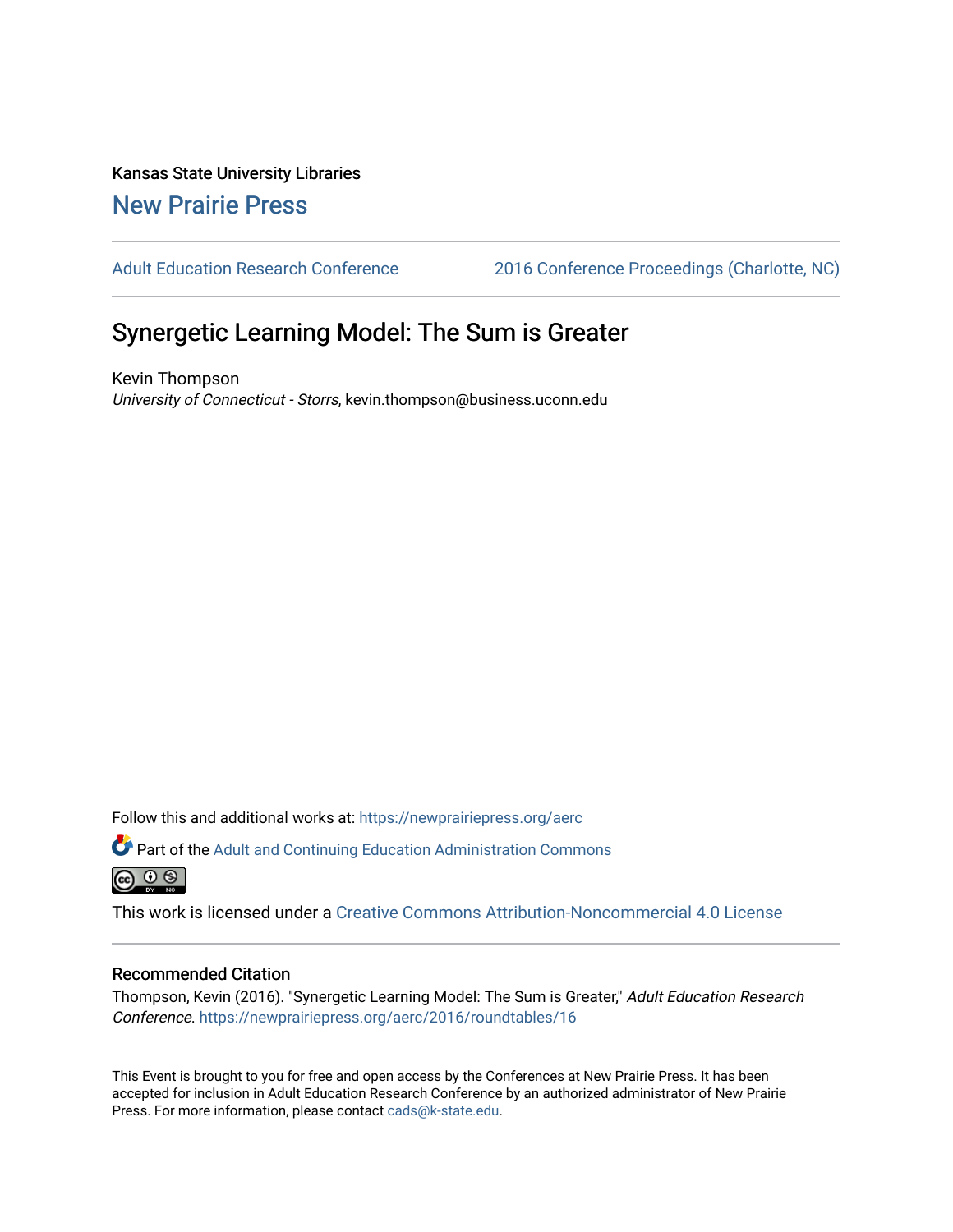Kansas State University Libraries [New Prairie Press](https://newprairiepress.org/) 

[Adult Education Research Conference](https://newprairiepress.org/aerc) [2016 Conference Proceedings \(Charlotte, NC\)](https://newprairiepress.org/aerc/2016) 

# Synergetic Learning Model: The Sum is Greater

Kevin Thompson University of Connecticut - Storrs, kevin.thompson@business.uconn.edu

Follow this and additional works at: [https://newprairiepress.org/aerc](https://newprairiepress.org/aerc?utm_source=newprairiepress.org%2Faerc%2F2016%2Froundtables%2F16&utm_medium=PDF&utm_campaign=PDFCoverPages)

Part of the [Adult and Continuing Education Administration Commons](http://network.bepress.com/hgg/discipline/789?utm_source=newprairiepress.org%2Faerc%2F2016%2Froundtables%2F16&utm_medium=PDF&utm_campaign=PDFCoverPages) <u>ெ ெ ⊜</u>

This work is licensed under a [Creative Commons Attribution-Noncommercial 4.0 License](https://creativecommons.org/licenses/by-nc/4.0/)

## Recommended Citation

Thompson, Kevin (2016). "Synergetic Learning Model: The Sum is Greater," Adult Education Research Conference.<https://newprairiepress.org/aerc/2016/roundtables/16>

This Event is brought to you for free and open access by the Conferences at New Prairie Press. It has been accepted for inclusion in Adult Education Research Conference by an authorized administrator of New Prairie Press. For more information, please contact [cads@k-state.edu.](mailto:cads@k-state.edu)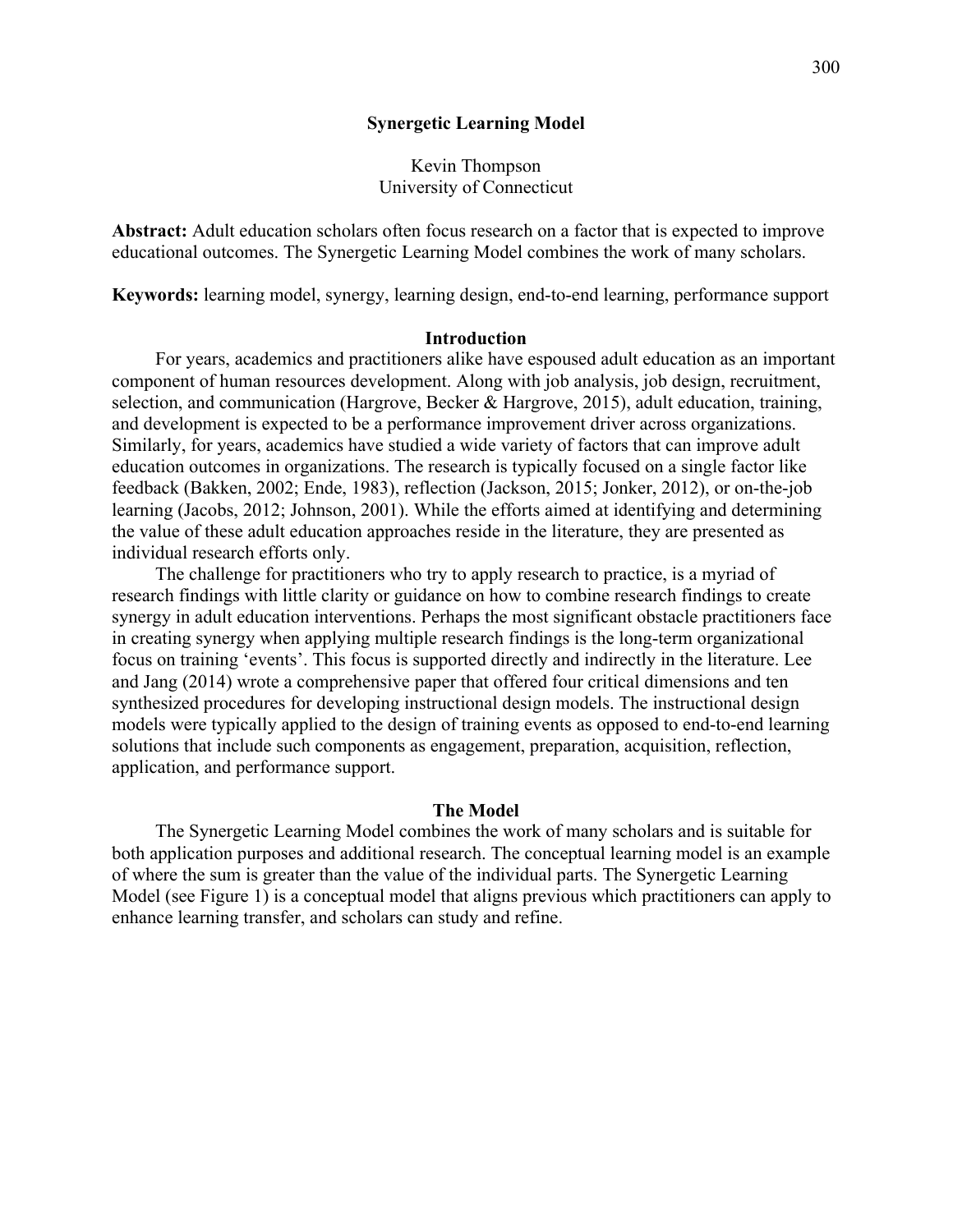## **Synergetic Learning Model**

# Kevin Thompson University of Connecticut

**Abstract:** Adult education scholars often focus research on a factor that is expected to improve educational outcomes. The Synergetic Learning Model combines the work of many scholars.

**Keywords:** learning model, synergy, learning design, end-to-end learning, performance support

### **Introduction**

For years, academics and practitioners alike have espoused adult education as an important component of human resources development. Along with job analysis, job design, recruitment, selection, and communication (Hargrove, Becker & Hargrove, 2015), adult education, training, and development is expected to be a performance improvement driver across organizations. Similarly, for years, academics have studied a wide variety of factors that can improve adult education outcomes in organizations. The research is typically focused on a single factor like feedback (Bakken, 2002; Ende, 1983), reflection (Jackson, 2015; Jonker, 2012), or on-the-job learning (Jacobs, 2012; Johnson, 2001). While the efforts aimed at identifying and determining the value of these adult education approaches reside in the literature, they are presented as individual research efforts only.

The challenge for practitioners who try to apply research to practice, is a myriad of research findings with little clarity or guidance on how to combine research findings to create synergy in adult education interventions. Perhaps the most significant obstacle practitioners face in creating synergy when applying multiple research findings is the long-term organizational focus on training 'events'. This focus is supported directly and indirectly in the literature. Lee and Jang (2014) wrote a comprehensive paper that offered four critical dimensions and ten synthesized procedures for developing instructional design models. The instructional design models were typically applied to the design of training events as opposed to end-to-end learning solutions that include such components as engagement, preparation, acquisition, reflection, application, and performance support.

### **The Model**

The Synergetic Learning Model combines the work of many scholars and is suitable for both application purposes and additional research. The conceptual learning model is an example of where the sum is greater than the value of the individual parts. The Synergetic Learning Model (see Figure 1) is a conceptual model that aligns previous which practitioners can apply to enhance learning transfer, and scholars can study and refine.